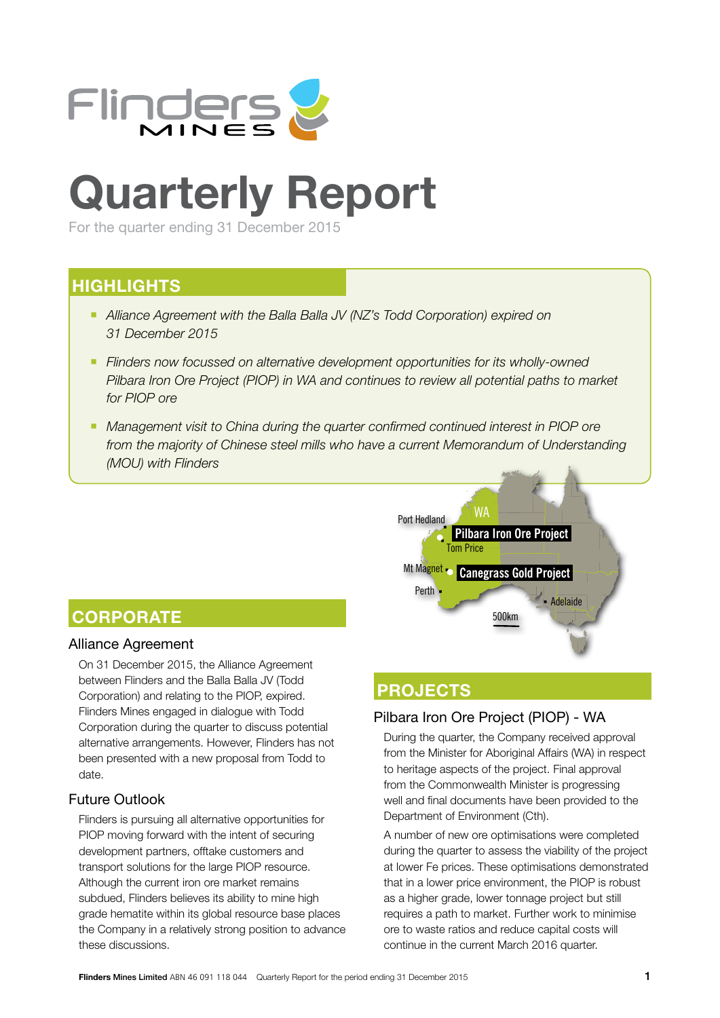

# **Quarterly Report**

For the quarter ending 31 December 2015

# **HIGHLIGHTS**

- **Alliance Agreement with the Balla Balla JV (NZ's Todd Corporation) expired on** *31 December 2015*
- Flinders now focussed on alternative development opportunities for its wholly-owned *Pilbara Iron Ore Project (PIOP) in WA and continues to review all potential paths to market for PIOP ore*
- **Management visit to China during the quarter confirmed continued interest in PIOP ore** *from the majority of Chinese steel mills who have a current Memorandum of Understanding (MOU) with Flinders*



# **CORPORATE**

### Alliance Agreement

On 31 December 2015, the Alliance Agreement between Flinders and the Balla Balla JV (Todd Corporation) and relating to the PIOP, expired. Flinders Mines engaged in dialogue with Todd Corporation during the quarter to discuss potential alternative arrangements. However, Flinders has not been presented with a new proposal from Todd to date.

### Future Outlook

Flinders is pursuing all alternative opportunities for PIOP moving forward with the intent of securing development partners, offtake customers and transport solutions for the large PIOP resource. Although the current iron ore market remains subdued, Flinders believes its ability to mine high grade hematite within its global resource base places the Company in a relatively strong position to advance these discussions.

# **PROJECTS**

## Pilbara Iron Ore Project (PIOP) - WA

During the quarter, the Company received approval from the Minister for Aboriginal Affairs (WA) in respect to heritage aspects of the project. Final approval from the Commonwealth Minister is progressing well and final documents have been provided to the Department of Environment (Cth).

A number of new ore optimisations were completed during the quarter to assess the viability of the project at lower Fe prices. These optimisations demonstrated that in a lower price environment, the PIOP is robust as a higher grade, lower tonnage project but still requires a path to market. Further work to minimise ore to waste ratios and reduce capital costs will continue in the current March 2016 quarter.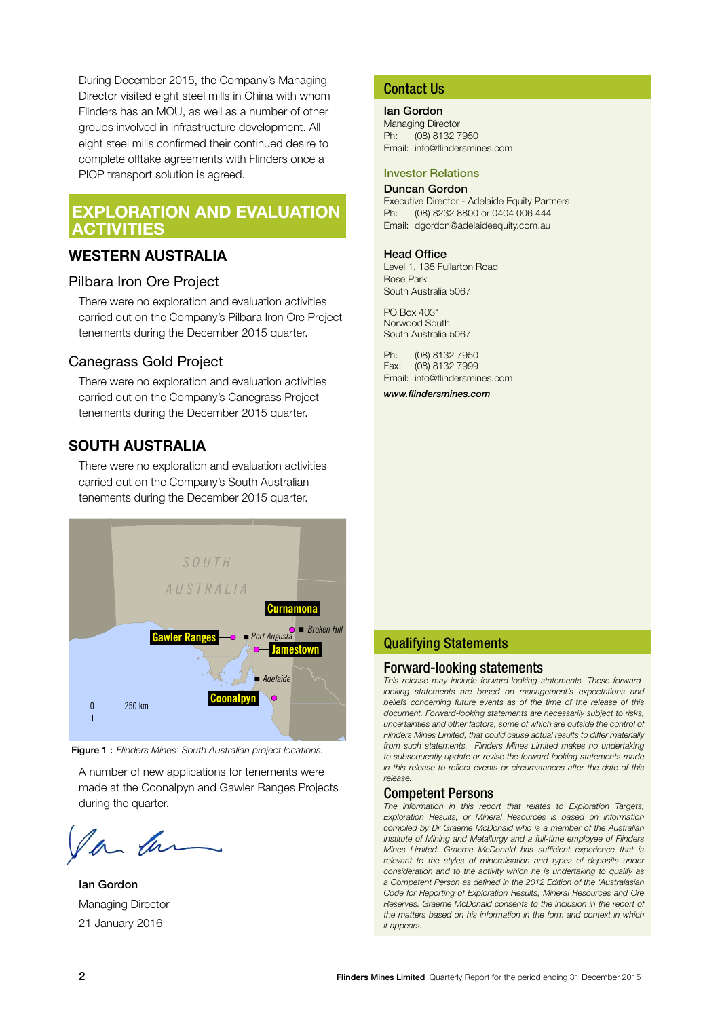During December 2015, the Company's Managing Director visited eight steel mills in China with whom Flinders has an MOU, as well as a number of other groups involved in infrastructure development. All eight steel mills confirmed their continued desire to complete offtake agreements with Flinders once a PIOP transport solution is agreed.

## **EXPLORATION AND EVALUATION ACTIVITIES**

#### **WESTERN AUSTRALIA**

#### Pilbara Iron Ore Project

There were no exploration and evaluation activities carried out on the Company's Pilbara Iron Ore Project tenements during the December 2015 quarter.

#### Canegrass Gold Project

There were no exploration and evaluation activities carried out on the Company's Canegrass Project tenements during the December 2015 quarter.

### **SOUTH AUSTRALIA**

There were no exploration and evaluation activities carried out on the Company's South Australian tenements during the December 2015 quarter.



Figure 1 : *Flinders Mines' South Australian project locations.*

A number of new applications for tenements were made at the Coonalpyn and Gawler Ranges Projects during the quarter.

Ian Gordon Managing Director 21 January 2016

#### Contact Us

Ian Gordon

Managing Director Ph: (08) 8132 7950 Email: info@flindersmines.com

#### Investor Relations

#### Duncan Gordon

Executive Director - Adelaide Equity Partners<br>Ph: (08) 8232 8800 or 0404 006 444 (08) 8232 8800 or 0404 006 444 Email: dgordon@adelaideequity.com.au

#### Head Office

Level 1, 135 Fullarton Road Rose Park South Australia 5067

PO Box 4031 Norwood South South Australia 5067

Ph: (08) 8132 7950 Fax: (08) 8132 7999 Email: info@flindersmines.com

*www.flindersmines.com*

#### Qualifying Statements

#### Forward-looking statements

*This release may include forward-looking statements. These forwardlooking statements are based on management's expectations and beliefs concerning future events as of the time of the release of this document. Forward-looking statements are necessarily subject to risks, uncertainties and other factors, some of which are outside the control of Flinders Mines Limited, that could cause actual results to differ materially from such statements. Flinders Mines Limited makes no undertaking to subsequently update or revise the forward-looking statements made in this release to reflect events or circumstances after the date of this release.*

#### Competent Persons

*The information in this report that relates to Exploration Targets, Exploration Results, or Mineral Resources is based on information compiled by Dr Graeme McDonald who is a member of the Australian Institute of Mining and Metallurgy and a full-time employee of Flinders Mines Limited. Graeme McDonald has sufficient experience that is*  relevant to the styles of mineralisation and types of deposits under *consideration and to the activity which he is undertaking to qualify as a Competent Person as defined in the 2012 Edition of the 'Australasian Code for Reporting of Exploration Results, Mineral Resources and Ore Reserves. Graeme McDonald consents to the inclusion in the report of the matters based on his information in the form and context in which it appears.*